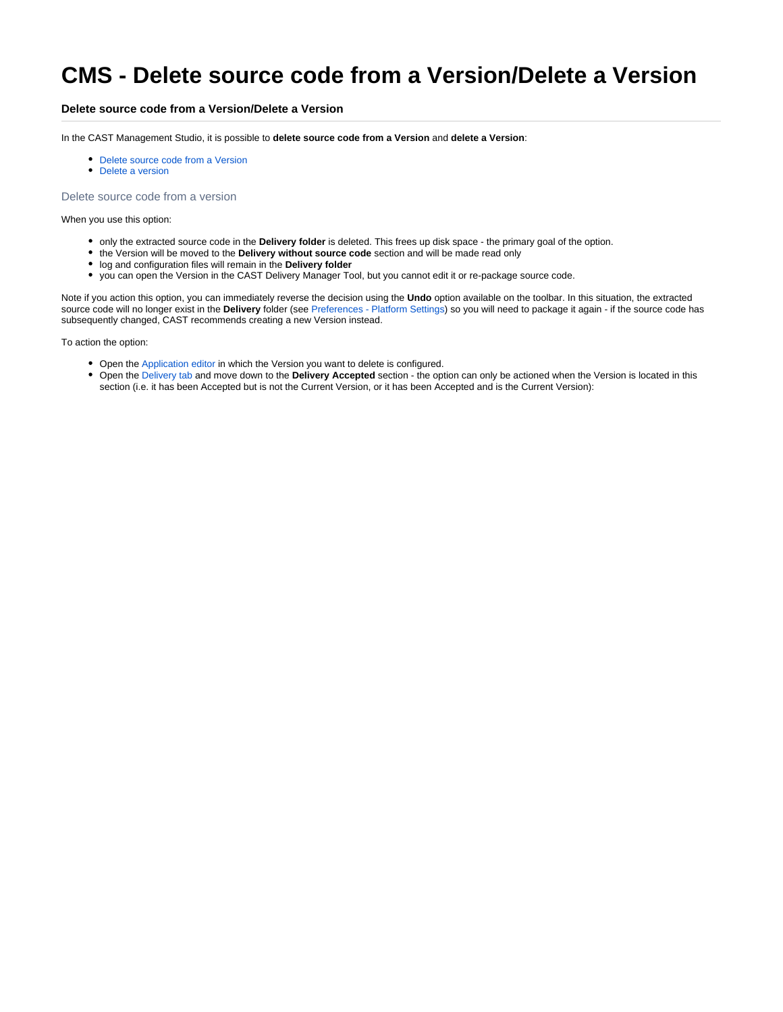# **CMS - Delete source code from a Version/Delete a Version**

### **Delete source code from a Version/Delete a Version**

In the CAST Management Studio, it is possible to **delete source code from a Version** and **delete a Version**:

- Delete source code from a Version
- Delete a version

#### Delete source code from a version

When you use this option:

- only the extracted source code in the **Delivery folder** is deleted. This frees up disk space the primary goal of the option.
- the Version will be moved to the **Delivery without source code** section and will be made read only
- log and configuration files will remain in the **Delivery folder**
- you can open the Version in the CAST Delivery Manager Tool, but you cannot edit it or re-package source code.

Note if you action this option, you can immediately reverse the decision using the **Undo** option available on the toolbar. In this situation, the extracted source code will no longer exist in the **Delivery** folder (see [Preferences - Platform Settings\)](https://doc.castsoftware.com/display/DOC83/CMS+-+Preferences+-+Platform+Settings) so you will need to package it again - if the source code has subsequently changed, CAST recommends creating a new Version instead.

To action the option:

- Open the [Application editor](https://doc.castsoftware.com/display/DOC83/CMS+-+Application+editor) in which the Version you want to delete is configured.
- Open the [Delivery tab](https://doc.castsoftware.com/display/DOC83/CMS+-+Delivery+tab) and move down to the **Delivery Accepted** section the option can only be actioned when the Version is located in this section (i.e. it has been Accepted but is not the Current Version, or it has been Accepted and is the Current Version):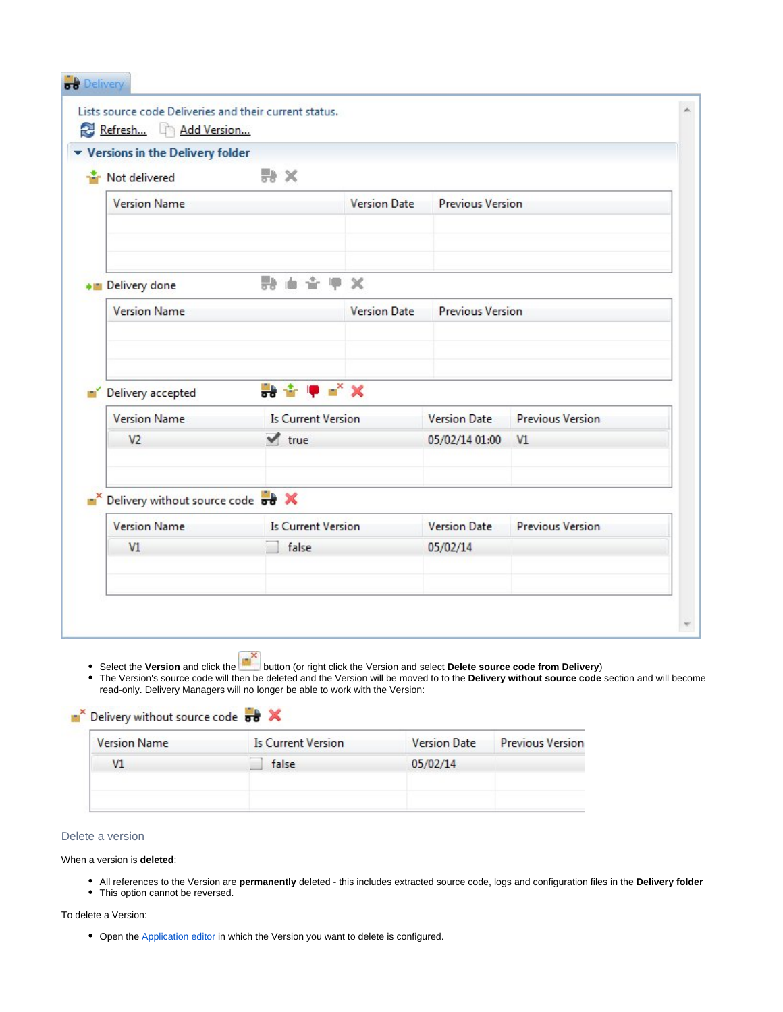| ▼ Versions in the Delivery folder              |                                                  |                     |                         |                         |  |  |
|------------------------------------------------|--------------------------------------------------|---------------------|-------------------------|-------------------------|--|--|
| Not delivered                                  | ₩ ×                                              |                     |                         |                         |  |  |
| <b>Version Name</b>                            |                                                  | <b>Version Date</b> | <b>Previous Version</b> |                         |  |  |
| Delivery done                                  | <b>防由合甲X</b>                                     |                     |                         |                         |  |  |
| <b>Version Name</b>                            |                                                  | <b>Version Date</b> | <b>Previous Version</b> |                         |  |  |
| Delivery accepted<br>۳Ý<br><b>Version Name</b> | 静全甲= <sup>×</sup> ×<br><b>Is Current Version</b> |                     | <b>Version Date</b>     | <b>Previous Version</b> |  |  |
| V <sub>2</sub>                                 | $\blacktriangledown$ true                        |                     | 05/02/14 01:00          | V1                      |  |  |
| Delivery without source code of X              |                                                  |                     |                         |                         |  |  |
| <b>Version Name</b>                            | <b>Is Current Version</b>                        |                     | <b>Version Date</b>     | <b>Previous Version</b> |  |  |
| VI                                             | false                                            |                     | 05/02/14                |                         |  |  |
|                                                |                                                  |                     |                         |                         |  |  |

Select the **Version** and click the button (or right click the Version and select **Delete source code from Delivery**) The Version's source code will then be deleted and the Version will be moved to to the **Delivery without source code** section and will become read-only. Delivery Managers will no longer be able to work with the Version:

| Is Current Version | <b>Version Date</b> | <b>Previous Version</b> |
|--------------------|---------------------|-------------------------|
| false              | 05/02/14            |                         |
|                    |                     |                         |
|                    |                     |                         |

## Delete a version

When a version is **deleted**:

- All references to the Version are **permanently** deleted this includes extracted source code, logs and configuration files in the **Delivery folder**
- This option cannot be reversed.

**N**<sup>x</sup> Delivery without source code **out** 

## To delete a Version:

• Open the [Application editor](https://doc.castsoftware.com/display/DOC83/CMS+-+Application+editor) in which the Version you want to delete is configured.